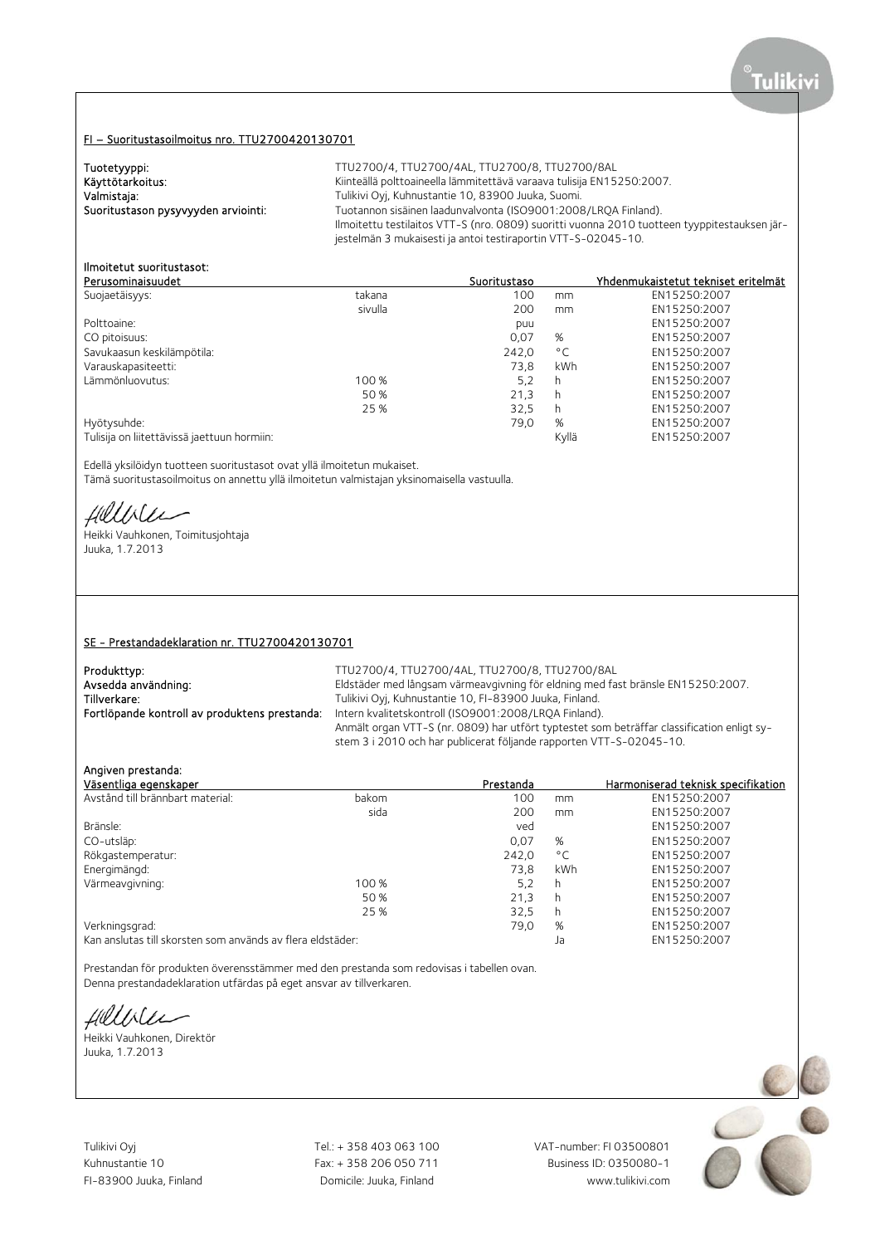# FI – Suoritustasoilmoitus nro. TTU2700420130701

| Tuotetyyppi:                        | TTU2700/4, TTU2700/4AL, TTU2700/8, TTU2700/8AL                                               |
|-------------------------------------|----------------------------------------------------------------------------------------------|
| Käyttötarkoitus:                    | Kiinteällä polttoaineella lämmitettävä varaava tulisija EN15250:2007.                        |
| Valmistaja:                         | Tulikivi Oyj, Kuhnustantie 10, 83900 Juuka, Suomi.                                           |
| Suoritustason pysyvyyden arviointi: | Tuotannon sisäinen laadunvalvonta (ISO9001:2008/LROA Finland).                               |
|                                     | Ilmoitettu testilaitos VTT-S (nro. 0809) suoritti vuonna 2010 tuotteen tyyppitestauksen jär- |
|                                     | jestelmän 3 mukaisesti ja antoi testiraportin VTT-S-02045-10.                                |

# Ilmoitetut suoritustasot:

| Perusominaisuudet                           |         | Suoritustaso |              | Yhdenmukaistetut tekniset eritelmät |
|---------------------------------------------|---------|--------------|--------------|-------------------------------------|
| Suojaetäisyys:                              | takana  | 100          | mm           | EN15250:2007                        |
|                                             | sivulla | 200          | mm           | EN15250:2007                        |
| Polttoaine:                                 |         | puu          |              | EN15250:2007                        |
| CO pitoisuus:                               |         | 0,07         | %            | EN15250:2007                        |
| Savukaasun keskilämpötila:                  |         | 242,0        | $^{\circ}$ C | EN15250:2007                        |
| Varauskapasiteetti:                         |         | 73.8         | kWh          | EN15250:2007                        |
| Lämmönluovutus:                             | 100 %   | 5.2          | h            | EN15250:2007                        |
|                                             | 50 %    | 21,3         | h            | EN15250:2007                        |
|                                             | 25 %    | 32.5         | h            | EN15250:2007                        |
| Hyötysuhde:                                 |         | 79,0         | %            | EN15250:2007                        |
| Tulisija on liitettävissä jaettuun hormiin: |         |              | Kyllä        | EN15250:2007                        |

Edellä yksilöidyn tuotteen suoritustasot ovat yllä ilmoitetun mukaiset.

Tämä suoritustasoilmoitus on annettu yllä ilmoitetun valmistajan yksinomaisella vastuulla.

fillble

Heikki Vauhkonen, Toimitusjohtaja Juuka, 1.7.2013

### SE - Prestandadeklaration nr. TTU2700420130701

| TTU2700/4, TTU2700/4AL, TTU2700/8, TTU2700/8AL                                                                                                                    |
|-------------------------------------------------------------------------------------------------------------------------------------------------------------------|
| Eldstäder med långsam värmeavgivning för eldning med fast bränsle EN15250:2007.                                                                                   |
| Tulikivi Oyj, Kuhnustantie 10, FI-83900 Juuka, Finland.                                                                                                           |
| Intern kvalitetskontroll (ISO9001:2008/LROA Finland).                                                                                                             |
| Anmält organ VTT-S (nr. 0809) har utfört typtestet som beträffar classification enligt sy-<br>stem 3 i 2010 och har publicerat följande rapporten VTT-S-02045-10. |
|                                                                                                                                                                   |

## Angiven prestanda:

| Väsentliga egenskaper                                      |       | Prestanda |              | Harmoniserad teknisk specifikation |
|------------------------------------------------------------|-------|-----------|--------------|------------------------------------|
| Avstånd till brännbart material:                           | bakom | 100       | mm           | EN15250:2007                       |
|                                                            | sida  | 200       | mm           | EN15250:2007                       |
| Bränsle:                                                   |       | ved       |              | EN15250:2007                       |
| CO-utsläp:                                                 |       | 0.07      | %            | EN15250:2007                       |
| Rökgastemperatur:                                          |       | 242.0     | $^{\circ}$ C | EN15250:2007                       |
| Energimängd:                                               |       | 73.8      | kWh          | EN15250:2007                       |
| Värmeavgivning:                                            | 100 % | 5,2       | h            | EN15250:2007                       |
|                                                            | 50 %  | 21,3      | h            | EN15250:2007                       |
|                                                            | 25 %  | 32,5      | h            | EN15250:2007                       |
| Verkningsgrad:                                             |       | 79,0      | %            | EN15250:2007                       |
| Kan anslutas till skorsten som används av flera eldstäder: |       |           | Ja           | EN15250:2007                       |

Prestandan för produkten överensstämmer med den prestanda som redovisas i tabellen ovan. Denna prestandadeklaration utfärdas på eget ansvar av tillverkaren.

fillble

Heikki Vauhkonen, Direktör Juuka, 1.7.2013

Tulikivi Oyj Tel.: + 358 403 063 100 VAT-number: FI 03500801 Kuhnustantie 10 Fax: + 358 206 050 711

FI-83900 Juuka, Finland Domicile: Juuka, Finland www.tulikivi.com

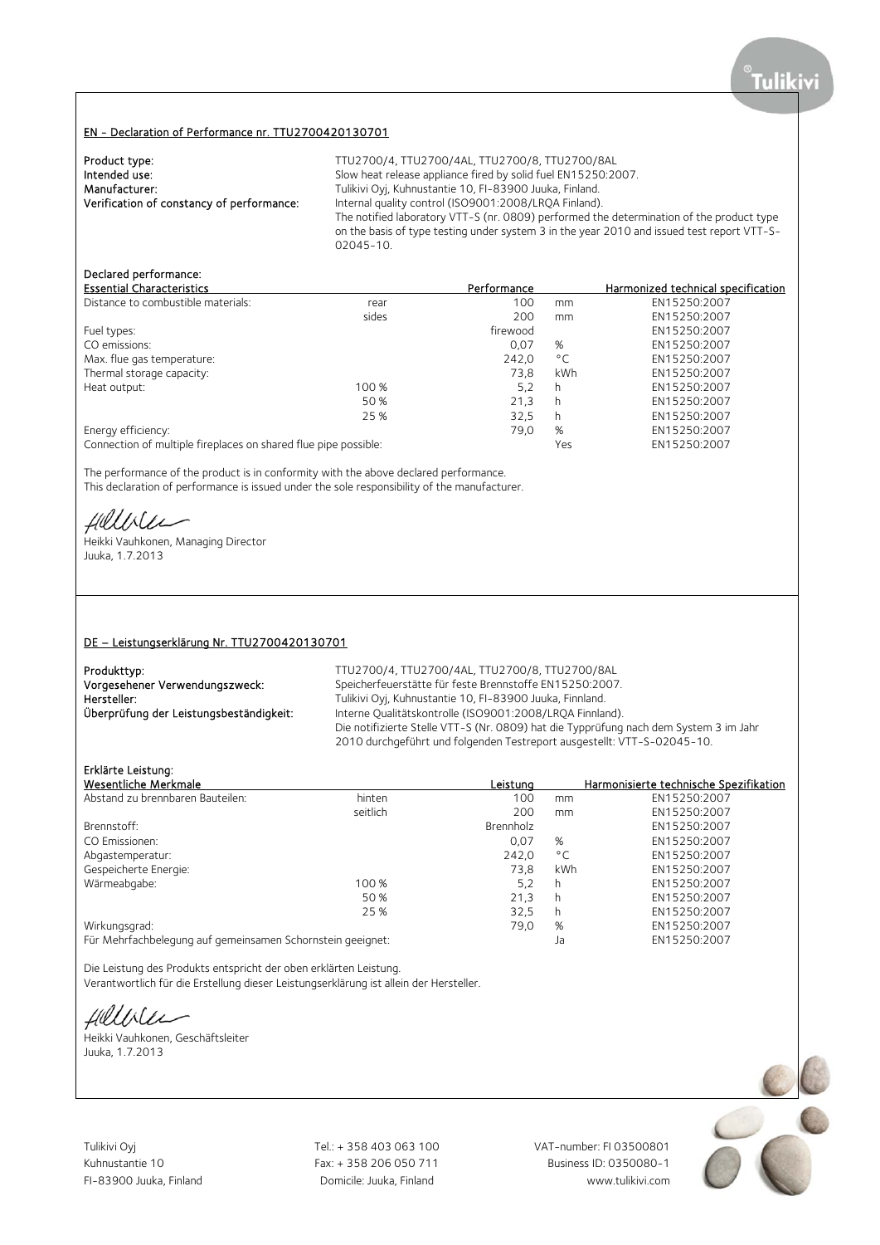### EN - Declaration of Performance nr. TTU2700420130701

| Product type:                             | TTU2700/4, TTU2700/4AL, TTU2700/8, TTU2700/8AL                 |
|-------------------------------------------|----------------------------------------------------------------|
| Intended use:                             | Slow heat release appliance fired by solid fuel EN15250:2007.  |
| Manufacturer:                             | Tulikivi Oyj, Kuhnustantie 10, FI-83900 Juuka, Finland.        |
| Verification of constancy of performance: | Internal quality control (ISO9001:2008/LRQA Finland).          |
|                                           | The notified laboratory VTT-S (nr. 0809) performed the deter   |
|                                           | on the basis of type testing under system 3 in the year 2010 a |

2008/LRQA Finland). 0809) performed the determination of the product type system 3 in the year 2010 and issued test report VTT-S-02045-10.

## Declared performance:

| <b>Essential Characteristics</b>                                |       | Performance |              | Harmonized technical specification |
|-----------------------------------------------------------------|-------|-------------|--------------|------------------------------------|
| Distance to combustible materials:                              | rear  | 100         | mm           | EN15250:2007                       |
|                                                                 | sides | 200         | mm           | EN15250:2007                       |
| Fuel types:                                                     |       | firewood    |              | EN15250:2007                       |
| CO emissions:                                                   |       | 0.07        | %            | EN15250:2007                       |
| Max. flue gas temperature:                                      |       | 242.0       | $^{\circ}$ C | EN15250:2007                       |
| Thermal storage capacity:                                       |       | 73.8        | kWh          | EN15250:2007                       |
| Heat output:                                                    | 100 % | 5,2         | h            | EN15250:2007                       |
|                                                                 | 50 %  | 21,3        | h            | EN15250:2007                       |
|                                                                 | 25 %  | 32.5        | h            | EN15250:2007                       |
| Energy efficiency:                                              |       | 79,0        | %            | EN15250:2007                       |
| Connection of multiple fireplaces on shared flue pipe possible: |       |             | Yes          | EN15250:2007                       |

The performance of the product is in conformity with the above declared performance. This declaration of performance is issued under the sole responsibility of the manufacturer.

Hillble

Heikki Vauhkonen, Managing Director Juuka, 1.7.2013

#### DE – Leistungserklärung Nr. TTU2700420130701

| Produkttyp:                             | TTU.             |
|-----------------------------------------|------------------|
| Vorgesehener Verwendungszweck:          | Spe              |
| Hersteller:                             | Tuli             |
| Überprüfung der Leistungsbeständigkeit: | Inte             |
|                                         | $\sum_{i=1}^{n}$ |

J2700/4, TTU2700/4AL, TTU2700/8, TTU2700/8AL eicherfeuerstätte für feste Brennstoffe EN15250:2007. ikivi Oyj, Kuhnustantie 10, FI-83900 Juuka, Finnland. erne Qualitätskontrolle (ISO9001:2008/LRQA Finnland). Die notifizierte Stelle VTT-S (Nr. 0809) hat die Typprüfung nach dem System 3 im Jahr 2010 durchgeführt und folgenden Testreport ausgestellt: VTT-S-02045-10.

## Erklärte Leistung:

| Wesentliche Merkmale                                       |          | Leistung  |              | Harmonisierte technische Spezifikation |
|------------------------------------------------------------|----------|-----------|--------------|----------------------------------------|
| Abstand zu brennbaren Bauteilen:                           | hinten   | 100       | mm           | EN15250:2007                           |
|                                                            | seitlich | 200       | mm           | EN15250:2007                           |
| Brennstoff:                                                |          | Brennholz |              | EN15250:2007                           |
| CO Emissionen:                                             |          | 0,07      | %            | EN15250:2007                           |
| Abgastemperatur:                                           |          | 242,0     | $^{\circ}$ C | EN15250:2007                           |
| Gespeicherte Energie:                                      |          | 73.8      | kWh          | EN15250:2007                           |
| Wärmeabgabe:                                               | 100 %    | 5,2       | h            | EN15250:2007                           |
|                                                            | 50 %     | 21,3      | h            | EN15250:2007                           |
|                                                            | 25 %     | 32,5      | h            | EN15250:2007                           |
| Wirkungsgrad:                                              |          | 79,0      | %            | EN15250:2007                           |
| Für Mehrfachbelegung auf gemeinsamen Schornstein geeignet: |          |           | Ja           | EN15250:2007                           |

Die Leistung des Produkts entspricht der oben erklärten Leistung.

Verantwortlich für die Erstellung dieser Leistungserklärung ist allein der Hersteller.

Hillbler

Heikki Vauhkonen, Geschäftsleiter Juuka, 1.7.2013

Tulikivi Oyj Tel.: + 358 403 063 100 VAT-number: FI 03500801

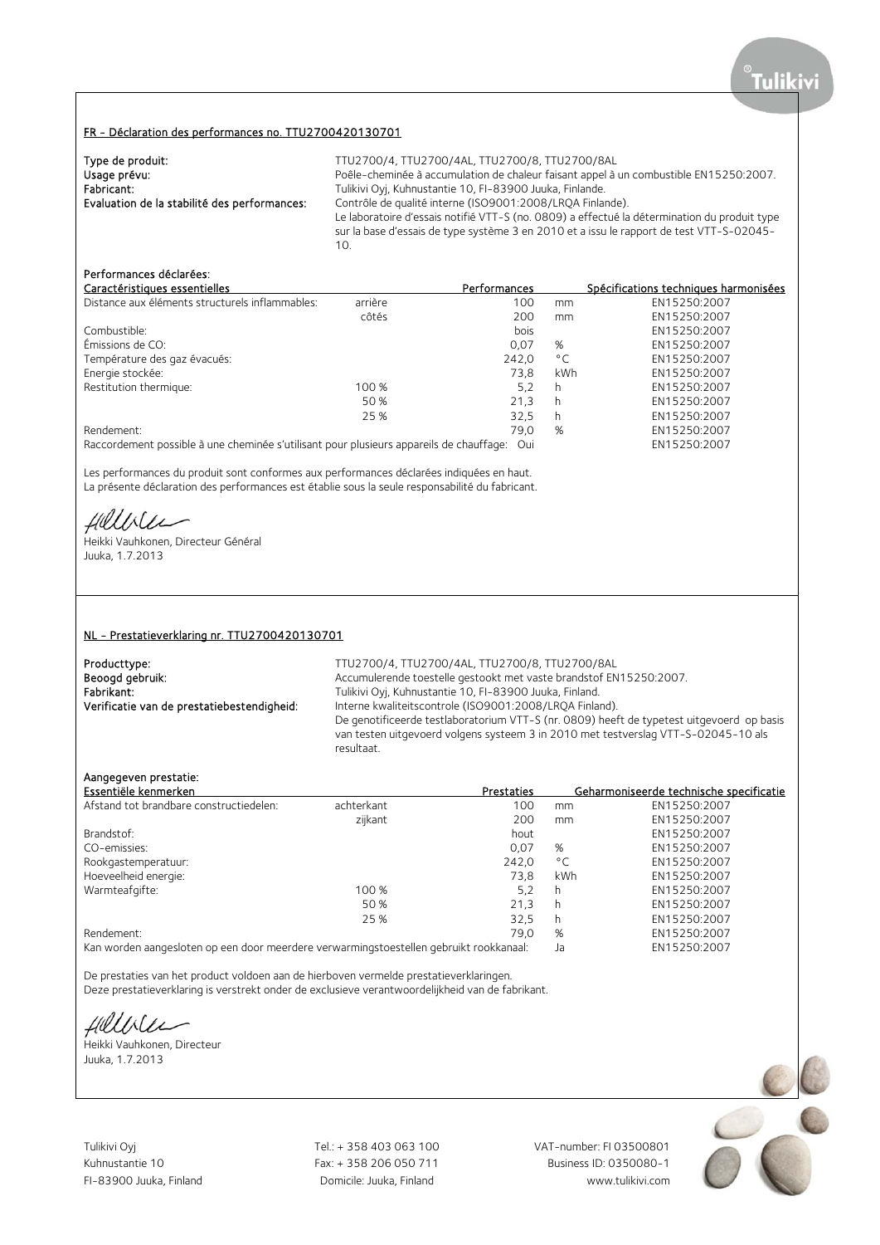#### FR - Déclaration des performances no. TTU2700420130701

| Type de produit:                             | TTU2700/4, TTU2700/4AL, TTU2700/8, TTU2700/8AL                                               |
|----------------------------------------------|----------------------------------------------------------------------------------------------|
| Usage prévu:                                 | Poêle-cheminée à accumulation de chaleur faisant appel à un combustible EN15250:2007.        |
| Fabricant:                                   | Tulikivi Oyj, Kuhnustantie 10, FI-83900 Juuka, Finlande.                                     |
| Evaluation de la stabilité des performances: | Contrôle de qualité interne (ISO9001:2008/LROA Finlande).                                    |
|                                              | Le laboratoire d'essais notifié VTT-S (no. 0809) a effectué la détermination du produit type |
|                                              | sur la base d'essais de type système 3 en 2010 et a issu le rapport de test VTT-S-02045-     |
|                                              |                                                                                              |

# Performances déclarées:

| Caractéristiques essentielles                   |         | <b>Performances</b> |              | Spécifications techniques harmonisées |
|-------------------------------------------------|---------|---------------------|--------------|---------------------------------------|
| Distance aux éléments structurels inflammables: | arrière | 100                 | mm           | EN15250:2007                          |
|                                                 | côtés   | 200                 | mm           | EN15250:2007                          |
| Combustible:                                    |         | bois                |              | EN15250:2007                          |
| Émissions de CO:                                |         | 0.07                | %            | EN15250:2007                          |
| Température des gaz évacués:                    |         | 242.0               | $^{\circ}$ C | EN15250:2007                          |
| Energie stockée:                                |         | 73.8                | kWh          | EN15250:2007                          |
| Restitution thermique:                          | 100 %   | 5.2                 | h            | EN15250:2007                          |
|                                                 | 50 %    | 21.3                | h            | EN15250:2007                          |
|                                                 | 25 %    | 32.5                | h            | EN15250:2007                          |
| Rendement:                                      |         | 79,0                | %            | EN15250:2007                          |
|                                                 |         |                     |              |                                       |

Raccordement possible à une cheminée s'utilisant pour plusieurs appareils de chauffage: Oui EN15250:2007

Les performances du produit sont conformes aux performances déclarées indiquées en haut. La présente déclaration des performances est établie sous la seule responsabilité du fabricant.

fillble

Heikki Vauhkonen, Directeur Général Juuka, 1.7.2013

#### NL - Prestatieverklaring nr. TTU2700420130701

Producttype: TTU2700/4, TTU2700/4AL, TTU2700/8, TTU2700/8AL<br>Beoogd gebruik: TTU2700/8AL Accumulerende toestelle gestookt met vaste brandstof EN Beoogd gebruik: <br>Accumulerende toestelle gestookt met vaste brandstof EN15250:2007.<br>Fabrikant: Tulikivi Oyi, Kuhnustantie 10, FI-83900 Juuka, Finland. Fabrikant: Tulikivi Oyj, Kuhnustantie 10, FI-83900 Juuka, Finland.<br>1. Tulikivi Oyj, Kuhnustantie 10, FI-83900 Juuka, Finland. Verificatie van de prestatiebestendigheid: Interne Interne kwaliteitscontrole (ISO9001:2008/LROA Finland). De genotificeerde testlaboratorium VTT-S (nr. 0809) heeft de typetest uitgevoerd op basis van testen uitgevoerd volgens systeem 3 in 2010 met testverslag VTT-S-02045-10 als resultaat.

### Aangegeven prestatie:

| Essentiële kenmerken                    |            | <b>Prestaties</b> |              | Geharmoniseerde technische specificatie |
|-----------------------------------------|------------|-------------------|--------------|-----------------------------------------|
| Afstand tot brandbare constructiedelen: | achterkant | 100               | mm           | EN15250:2007                            |
|                                         | zijkant    | 200               | mm           | EN15250:2007                            |
| Brandstof:                              |            | hout              |              | EN15250:2007                            |
| CO-emissies:                            |            | 0.07              | %            | EN15250:2007                            |
| Rookgastemperatuur:                     |            | 242.0             | $^{\circ}$ C | EN15250:2007                            |
| Hoeveelheid energie:                    |            | 73.8              | kWh          | EN15250:2007                            |
| Warmteafgifte:                          | 100 %      | 5.2               | h            | EN15250:2007                            |
|                                         | 50%        | 21.3              | h            | EN15250:2007                            |
|                                         | 25 %       | 32.5              | h            | EN15250:2007                            |
| Rendement:                              |            | 79.0              | %            | EN15250:2007                            |
|                                         |            |                   |              |                                         |

Kan worden aangesloten op een door meerdere verwarmingstoestellen gebruikt rookkanaal: Ja EN15250:2007

De prestaties van het product voldoen aan de hierboven vermelde prestatieverklaringen.

Deze prestatieverklaring is verstrekt onder de exclusieve verantwoordelijkheid van de fabrikant.

Hillble

Heikki Vauhkonen, Directeur Juuka, 1.7.2013

Tulikivi Oyj Tel.: + 358 403 063 100 VAT-number: FI 03500801

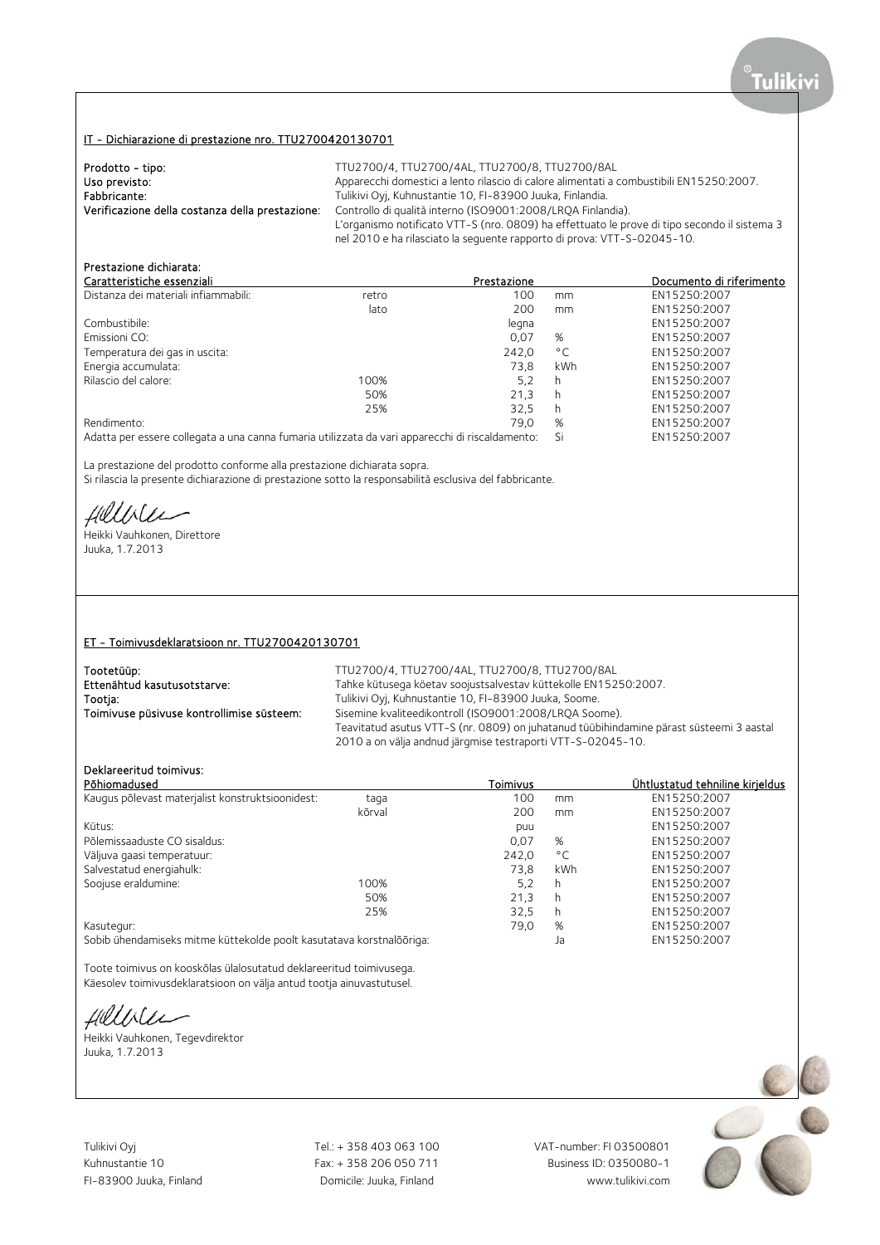# IT - Dichiarazione di prestazione nro. TTU2700420130701

| Prodotto - tipo:                                | TTU2700/4, TTU2700/4AL, TTU2700/8, TTU2700/8AL                                               |
|-------------------------------------------------|----------------------------------------------------------------------------------------------|
| Uso previsto:                                   | Apparecchi domestici a lento rilascio di calore alimentati a combustibili EN15250:2007.      |
| Fabbricante:                                    | Tulikivi Oyj, Kuhnustantie 10, FI-83900 Juuka, Finlandia.                                    |
| Verificazione della costanza della prestazione: | Controllo di qualità interno (ISO9001:2008/LROA Finlandia).                                  |
|                                                 | L'organismo notificato VTT-S (nro. 0809) ha effettuato le prove di tipo secondo il sistema 3 |
|                                                 | nel 2010 e ha rilasciato la seguente rapporto di prova: VTT-S-02045-10.                      |

# Prestazione dichiarata:

| Caratteristiche essenziali                                                                                                                 |       | Prestazione |              | Documento di riferimento |
|--------------------------------------------------------------------------------------------------------------------------------------------|-------|-------------|--------------|--------------------------|
| Distanza dei materiali infiammabili:                                                                                                       | retro | 100         | mm           | EN15250:2007             |
|                                                                                                                                            | lato  | 200         | mm           | EN15250:2007             |
| Combustibile:                                                                                                                              |       | legna       |              | EN15250:2007             |
| Emissioni CO:                                                                                                                              |       | 0.07        | %            | EN15250:2007             |
| Temperatura dei gas in uscita:                                                                                                             |       | 242.0       | $^{\circ}$ C | EN15250:2007             |
| Energia accumulata:                                                                                                                        |       | 73.8        | kWh          | EN15250:2007             |
| Rilascio del calore:                                                                                                                       | 100%  | 5,2         | h            | EN15250:2007             |
|                                                                                                                                            | 50%   | 21.3        | h            | EN15250:2007             |
|                                                                                                                                            | 25%   | 32.5        | h            | EN15250:2007             |
| Rendimento:                                                                                                                                |       | 79.0        | %            | EN15250:2007             |
| A demonstration of the complete state of the extremely descent constraint distribution of the state of the complete state of $\mathcal{O}$ |       |             |              | FMLATEALA.2007           |

Adatta per essere collegata a una canna fumaria utilizzata da vari apparecchi di riscaldamento: Si EN15250:2007

La prestazione del prodotto conforme alla prestazione dichiarata sopra.

Si rilascia la presente dichiarazione di prestazione sotto la responsabilità esclusiva del fabbricante.

Hillble

Heikki Vauhkonen, Direttore Juuka, 1.7.2013

### ET - Toimivusdeklaratsioon nr. TTU2700420130701

| Tootetüüp:                                | TTU2700/4, TTU2700/4AL, TTU2700/8, TTU2700/8AL                                                                                                         |
|-------------------------------------------|--------------------------------------------------------------------------------------------------------------------------------------------------------|
| Ettenähtud kasutusotstarve:               | Tahke kütusega köetav soojustsalvestav küttekolle EN15250:2007.                                                                                        |
| Tootia:                                   | Tulikivi Oyi, Kuhnustantie 10, FI-83900 Juuka, Soome.                                                                                                  |
| Toimivuse püsivuse kontrollimise süsteem: | Sisemine kvaliteedikontroll (ISO9001:2008/LROA Soome).                                                                                                 |
|                                           | Teavitatud asutus VTT-S (nr. 0809) on juhatanud tüübihindamine pärast süsteemi 3 aastal<br>2010 a on välja andnud järgmise testraporti VTT-S-02045-10. |
|                                           |                                                                                                                                                        |

## Deklareeritud toimivus:

|                                                                                    |       |              | <u>Ühtlustatud tehniline kirieldus</u> |
|------------------------------------------------------------------------------------|-------|--------------|----------------------------------------|
| taga                                                                               | 100   | mm           | EN15250:2007                           |
| kõrval                                                                             | 200   | mm           | EN15250:2007                           |
|                                                                                    | puu   |              | EN15250:2007                           |
|                                                                                    | 0,07  | %            | EN15250:2007                           |
|                                                                                    | 242.0 | $^{\circ}$ C | EN15250:2007                           |
|                                                                                    | 73.8  | kWh          | EN15250:2007                           |
| 100%                                                                               | 5.2   | h            | EN15250:2007                           |
| 50%                                                                                | 21,3  | h            | EN15250:2007                           |
| 25%                                                                                | 32,5  | h            | EN15250:2007                           |
|                                                                                    | 79.0  | %            | EN15250:2007                           |
| Kasutegur:<br>Sobib ühendamiseks mitme küttekolde poolt kasutatava korstnalõõriga: |       | Ja           | EN15250:2007                           |
|                                                                                    |       | Toimivus     |                                        |

Toote toimivus on kooskõlas ülalosutatud deklareeritud toimivusega. Käesolev toimivusdeklaratsioon on välja antud tootja ainuvastutusel.

fillble

Heikki Vauhkonen, Tegevdirektor Juuka, 1.7.2013

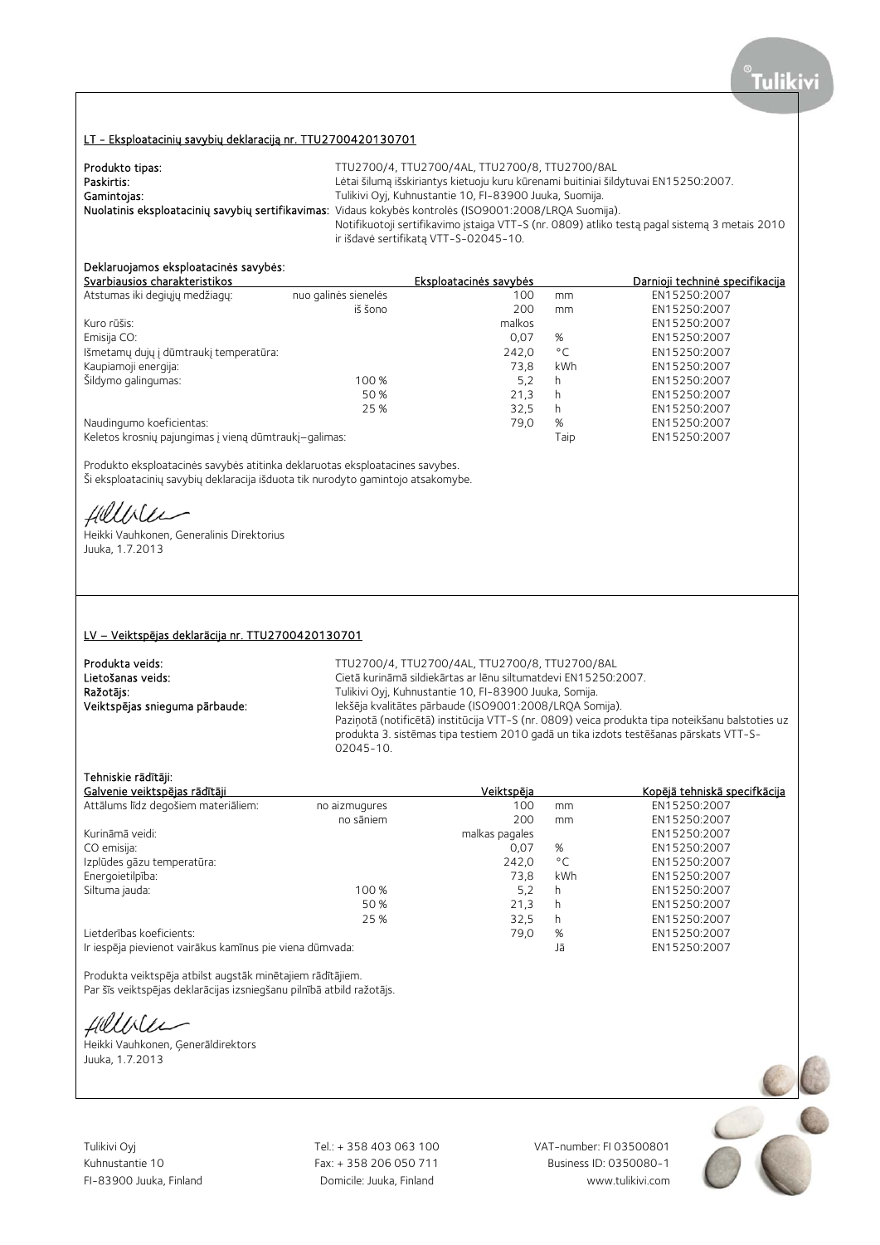## LT - Eksploatacinių savybių deklaraciją nr. TTU2700420130701

| Produkto tipas: | TTU2700/4, TTU2700/4AL, TTU2700/8, TTU2700/8AL                                                          |
|-----------------|---------------------------------------------------------------------------------------------------------|
| Paskirtis:      | Lėtai šilumą išskiriantys kietuoju kuru kūrenami buitiniai šildytuvai EN15250:2007.                     |
| Gamintojas:     | Tulikivi Oyj, Kuhnustantie 10, FI-83900 Juuka, Suomija.                                                 |
|                 | Nuolatinis eksploatacinių savybių sertifikavimas: Vidaus kokybės kontrolės (ISO9001:2008/LRQA Suomija). |
|                 | Notifikuotoji sertifikavimo įstaiga VTT-S (nr. 0809) atliko testą pagal sistemą 3 metais 2010           |
|                 | ir išdavė sertifikatą VTT-S-02045-10.                                                                   |

# Deklaruojamos eksploatacinės savybės:

| Svarbiausios charakteristikos                         |                      | Eksploatacinės savybės |              | Darnioji techninė specifikacija |
|-------------------------------------------------------|----------------------|------------------------|--------------|---------------------------------|
| Atstumas iki degiųjų medžiagų:                        | nuo galinės sienelės | 100                    | mm           | EN15250:2007                    |
|                                                       | iš šono              | 200                    | mm           | EN15250:2007                    |
| Kuro rūšis:                                           |                      | malkos                 |              | EN15250:2007                    |
| Emisija CO:                                           |                      | 0,07                   | %            | EN15250:2007                    |
| Išmetamų dujų į dūmtraukį temperatūra:                |                      | 242,0                  | $^{\circ}$ C | EN15250:2007                    |
| Kaupiamoji energija:                                  |                      | 73.8                   | kWh          | EN15250:2007                    |
| Šildymo galingumas:                                   | 100 %                | 5.2                    | h            | EN15250:2007                    |
|                                                       | 50 %                 | 21.3                   | h            | EN15250:2007                    |
|                                                       | 25 %                 | 32.5                   | h            | EN15250:2007                    |
| Naudingumo koeficientas:                              |                      | 79,0                   | %            | EN15250:2007                    |
| Keletos krosnių pajungimas į vieną dūmtraukį-galimas: |                      |                        | Taip         | EN15250:2007                    |

Produkto eksploatacinės savybės atitinka deklaruotas eksploatacines savybes. Ši eksploatacinių savybių deklaracija išduota tik nurodyto gamintojo atsakomybe.

Hillble

Heikki Vauhkonen, Generalinis Direktorius Juuka, 1.7.2013

#### LV – Veiktspējas deklarācija nr. TTU2700420130701

**Produkta veids:** TTU2700/4, TTU2700/4AL, TTU2700/8, TTU2700/8AL<br>Cietā kurināmā sildiekārtas ar lēnu siltumatdevi EN15250:2 Lietošanas veids: Cietā kurināmā sildiekārtas ar lēnu siltumatdevi EN15250:2007.<br>
Ražotājs: Cietā kurināmā sildiekārtas ar lēnu siltumatdevi EN15250:2007. Ražotājs: Tulikivi Oyj, Kuhnustantie 10, FI-83900 Juuka, Somija. Veiktspējas snieguma pārbaude: Iekšēja kvalitātes pārbaude (ISO9001:2008/LRQA Somija). Paziņotā (notificētā) institūcija VTT-S (nr. 0809) veica produkta tipa noteikšanu balstoties uz produkta 3. sistēmas tipa testiem 2010 gadā un tika izdots testēšanas pārskats VTT-S-02045-10.

## Tehniskie rādītāji:

| Galvenie veiktspējas rādītāji                            |               | Veiktspēja     |              | Kopējā tehniskā specifkācija |
|----------------------------------------------------------|---------------|----------------|--------------|------------------------------|
| Attālums līdz degošiem materiāliem:                      | no aizmugures | 100            | mm           | EN15250:2007                 |
|                                                          | no sāniem     | 200            | mm           | EN15250:2007                 |
| Kurināmā veidi:                                          |               | malkas pagales |              | EN15250:2007                 |
| CO emisija:                                              |               | 0.07           | %            | EN15250:2007                 |
| Izplūdes gāzu temperatūra:                               |               | 242.0          | $^{\circ}$ C | EN15250:2007                 |
| Energoietilpība:                                         |               | 73.8           | kWh          | EN15250:2007                 |
| Siltuma jauda:                                           | 100 %         | 5,2            | h            | EN15250:2007                 |
|                                                          | 50 %          | 21.3           | h            | EN15250:2007                 |
|                                                          | 25 %          | 32.5           | h            | EN15250:2007                 |
| Lietderības koeficients:                                 |               | 79.0           | %            | EN15250:2007                 |
| Ir iespēja pievienot vairākus kamīnus pie viena dūmvada: |               |                | Jā           | EN15250:2007                 |

Produkta veiktspēja atbilst augstāk minētajiem rādītājiem. Par šīs veiktspējas deklarācijas izsniegšanu pilnībā atbild ražotājs.

Hillble

Heikki Vauhkonen, Ģenerāldirektors Juuka, 1.7.2013

Tulikivi Oyj Tel.: + 358 403 063 100 VAT-number: FI 03500801

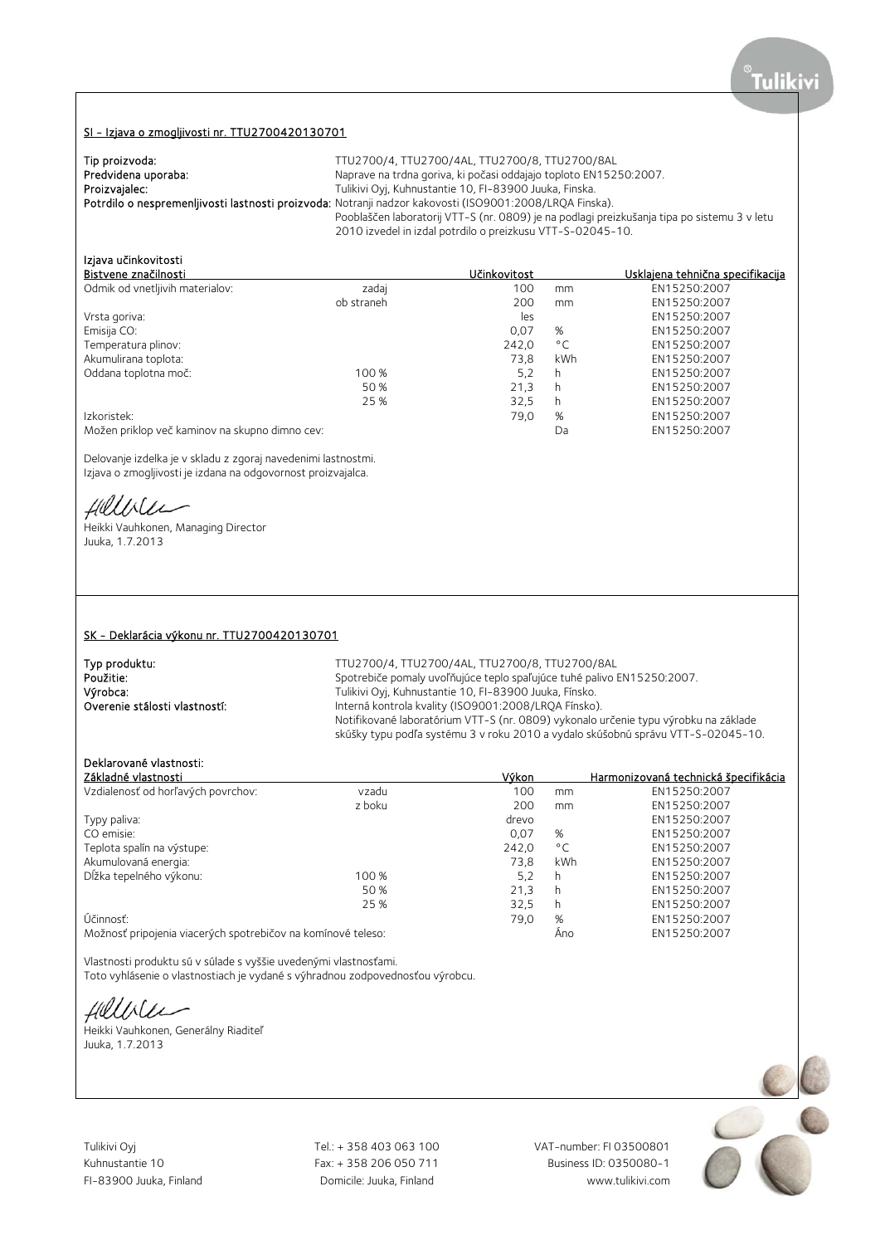### SI - Izjava o zmogljivosti nr. TTU2700420130701

| Tip proizvoda:      | TTU2700/4, TTU2700/4AL, TTU2700/8, TTU2700/8AL                                                          |
|---------------------|---------------------------------------------------------------------------------------------------------|
| Predvidena uporaba: | Naprave na trdna goriva, ki počasi oddajajo toploto EN15250:2007.                                       |
| Proizvajalec:       | Tulikivi Oyj, Kuhnustantie 10, FI-83900 Juuka, Finska.                                                  |
|                     | Potrdilo o nespremenljivosti lastnosti proizvoda: Notranji nadzor kakovosti (ISO9001:2008/LRQA Finska). |
|                     | Pooblaščen laboratorij VTT-S (nr. 0809) je na podlagi preizkušanja tipa po sistemu 3 v letu             |
|                     | 2010 izvedel in izdal potrdilo o preizkusu VTT-S-02045-10.                                              |

# Izjava učinkovitosti

| Bistvene značilnosti                           |            | Učinkovitost |              | Usklajena tehnična specifikacija |
|------------------------------------------------|------------|--------------|--------------|----------------------------------|
| Odmik od vnetljivih materialov:                | zadaj      | 100          | mm           | EN15250:2007                     |
|                                                | ob straneh | 200          | mm           | EN15250:2007                     |
| Vrsta goriva:                                  |            | les          |              | EN15250:2007                     |
| Emisija CO:                                    |            | 0,07         | %            | EN15250:2007                     |
| Temperatura plinov:                            |            | 242.0        | $^{\circ}$ C | EN15250:2007                     |
| Akumulirana toplota:                           |            | 73.8         | kWh          | EN15250:2007                     |
| Oddana toplotna moč:                           | 100 %      | 5,2          | h            | EN15250:2007                     |
|                                                | 50 %       | 21,3         | h            | EN15250:2007                     |
|                                                | 25 %       | 32,5         | h            | EN15250:2007                     |
| Izkoristek:                                    |            | 79.0         | %            | EN15250:2007                     |
| Možen priklop več kaminov na skupno dimno cev: |            |              | Da           | EN15250:2007                     |

Delovanje izdelka je v skladu z zgoraj navedenimi lastnostmi. Izjava o zmogljivosti je izdana na odgovornost proizvajalca.

Hillble

Heikki Vauhkonen, Managing Director Juuka, 1.7.2013

#### SK - Deklarácia výkonu nr. TTU2700420130701

| Typ produktu:                 | TTU2700/4, TTU2700/4AL, TTU2700/8, TTU2700/8AL                                      |
|-------------------------------|-------------------------------------------------------------------------------------|
| Použitie:                     | Spotrebiče pomaly uvoľňujúce teplo spaľujúce tuhé palivo EN15250:2007.              |
| Výrobca:                      | Tulikivi Oyj, Kuhnustantie 10, FI-83900 Juuka, Fínsko.                              |
| Overenie stálosti vlastností: | Interná kontrola kvality (ISO9001:2008/LROA Fínsko).                                |
|                               | Notifikované laboratórium VTT-S (nr. 0809) vykonalo určenie typu výrobku na základe |
|                               | skúšky typu podľa systému 3 v roku 2010 a vydalo skúšobnú správu VTT-S-02045-10.    |

## Deklarované vlastnosti:

| Základné vlastnosti                                          |        | Výkon |              | Harmonizovaná technická špecifikácia |
|--------------------------------------------------------------|--------|-------|--------------|--------------------------------------|
| Vzdialenosť od horľavých povrchov:                           | vzadu  | 100   | mm           | EN15250:2007                         |
|                                                              | z boku | 200   | mm           | EN15250:2007                         |
| Typy paliva:                                                 |        | drevo |              | EN15250:2007                         |
| CO emisie:                                                   |        | 0.07  | %            | EN15250:2007                         |
| Teplota spalín na výstupe:                                   |        | 242.0 | $^{\circ}$ C | EN15250:2007                         |
| Akumulovaná energia:                                         |        | 73.8  | kWh          | EN15250:2007                         |
| Dĺžka tepelného výkonu:                                      | 100 %  | 5.2   | h            | EN15250:2007                         |
|                                                              | 50 %   | 21,3  | h            | EN15250:2007                         |
|                                                              | 25 %   | 32.5  | h            | EN15250:2007                         |
| Účinnosť:                                                    |        | 79,0  | %            | EN15250:2007                         |
| Možnosť pripojenia viacerých spotrebičov na komínové teleso: |        |       | Ano          | EN15250:2007                         |

Vlastnosti produktu sú v súlade s vyššie uvedenými vlastnosťami. Toto vyhlásenie o vlastnostiach je vydané s výhradnou zodpovednosťou výrobcu.

Hillble

Heikki Vauhkonen, Generálny Riaditeľ Juuka, 1.7.2013

Tulikivi Oyj Tel.: + 358 403 063 100 VAT-number: FI 03500801